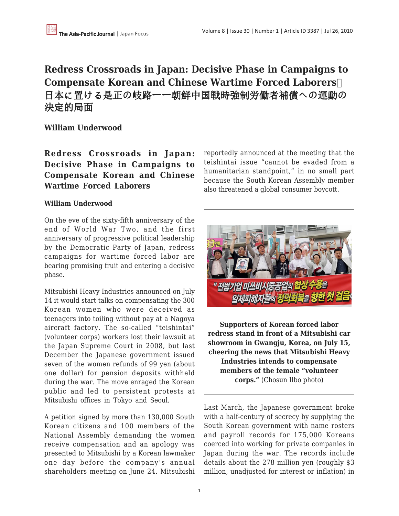## **Redress Crossroads in Japan: Decisive Phase in Campaigns to Compensate Korean and Chinese Wartime Forced Laborers**  日本に置ける是正の岐路ーー朝鮮中国戦時強制労働者補償への運動の 決定的局面

**William Underwood**

**Redress Crossroads in Japan: Decisive Phase in Campaigns to Compensate Korean and Chinese Wartime Forced Laborers**

## **William Underwood**

On the eve of the sixty-fifth anniversary of the end of World War Two, and the first anniversary of progressive political leadership by the Democratic Party of Japan, redress campaigns for wartime forced labor are bearing promising fruit and entering a decisive phase.

Mitsubishi Heavy Industries announced on July 14 it would start talks on compensating the 300 Korean women who were deceived as teenagers into toiling without pay at a Nagoya aircraft factory. The so-called "teishintai" (volunteer corps) workers lost their lawsuit at the Japan Supreme Court in 2008, but last December the Japanese government issued seven of the women refunds of 99 yen (about one dollar) for pension deposits withheld during the war. The move enraged the Korean public and led to persistent protests at Mitsubishi offices in Tokyo and Seoul.

A petition signed by more than 130,000 South Korean citizens and 100 members of the National Assembly demanding the women receive compensation and an apology was presented to Mitsubishi by a Korean lawmaker one day before the company's annual shareholders meeting on June 24. Mitsubishi reportedly announced at the meeting that the teishintai issue "cannot be evaded from a humanitarian standpoint," in no small part because the South Korean Assembly member also threatened a global consumer boycott.



**Supporters of Korean forced labor redress stand in front of a Mitsubishi car showroom in Gwangju, Korea, on July 15, cheering the news that Mitsubishi Heavy Industries intends to compensate members of the female "volunteer corps."** (Chosun Ilbo photo)

Last March, the Japanese government broke with a half-century of secrecy by supplying the South Korean government with name rosters and payroll records for 175,000 Koreans coerced into working for private companies in Japan during the war. The records include details about the 278 million yen (roughly \$3 million, unadjusted for interest or inflation) in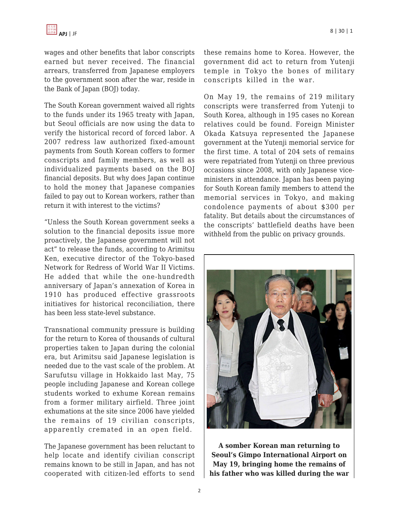wages and other benefits that labor conscripts earned but never received. The financial arrears, transferred from Japanese employers to the government soon after the war, reside in the Bank of Japan (BOJ) today.

The South Korean government waived all rights to the funds under its 1965 treaty with Japan, but Seoul officials are now using the data to verify the historical record of forced labor. A 2007 redress law authorized fixed-amount payments from South Korean coffers to former conscripts and family members, as well as individualized payments based on the BOJ financial deposits. But why does Japan continue to hold the money that Japanese companies failed to pay out to Korean workers, rather than return it with interest to the victims?

"Unless the South Korean government seeks a solution to the financial deposits issue more proactively, the Japanese government will not act" to release the funds, according to Arimitsu Ken, executive director of the Tokyo-based Network for Redress of World War II Victims. He added that while the one-hundredth anniversary of Japan's annexation of Korea in 1910 has produced effective grassroots initiatives for historical reconciliation, there has been less state-level substance.

Transnational community pressure is building for the return to Korea of thousands of cultural properties taken to Japan during the colonial era, but Arimitsu said Japanese legislation is needed due to the vast scale of the problem. At Sarufutsu village in Hokkaido last May, 75 people including Japanese and Korean college students worked to exhume Korean remains from a former military airfield. Three joint exhumations at the site since 2006 have yielded the remains of 19 civilian conscripts, apparently cremated in an open field.

The Japanese government has been reluctant to help locate and identify civilian conscript remains known to be still in Japan, and has not cooperated with citizen-led efforts to send these remains home to Korea. However, the government did act to return from Yutenji temple in Tokyo the bones of military conscripts killed in the war.

On May 19, the remains of 219 military conscripts were transferred from Yutenji to South Korea, although in 195 cases no Korean relatives could be found. Foreign Minister Okada Katsuya represented the Japanese government at the Yutenji memorial service for the first time. A total of 204 sets of remains were repatriated from Yutenji on three previous occasions since 2008, with only Japanese viceministers in attendance. Japan has been paying for South Korean family members to attend the memorial services in Tokyo, and making condolence payments of about \$300 per fatality. But details about the circumstances of the conscripts' battlefield deaths have been withheld from the public on privacy grounds.



**A somber Korean man returning to Seoul's Gimpo International Airport on May 19, bringing home the remains of his father who was killed during the war**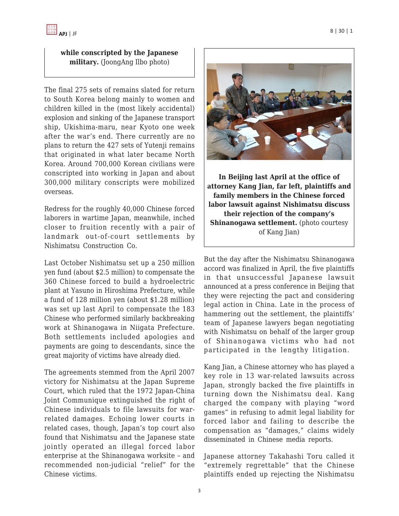## **while conscripted by the Japanese military.** (JoongAng Ilbo photo)

The final 275 sets of remains slated for return to South Korea belong mainly to women and children killed in the (most likely accidental) explosion and sinking of the Japanese transport ship, Ukishima-maru, near Kyoto one week after the war's end. There currently are no plans to return the 427 sets of Yutenji remains that originated in what later became North Korea. Around 700,000 Korean civilians were conscripted into working in Japan and about 300,000 military conscripts were mobilized overseas.

Redress for the roughly 40,000 Chinese forced laborers in wartime Japan, meanwhile, inched closer to fruition recently with a pair of landmark out-of-court settlements by Nishimatsu Construction Co.

Last October Nishimatsu set up a 250 million yen fund (about \$2.5 million) to compensate the 360 Chinese forced to build a hydroelectric plant at Yasuno in Hiroshima Prefecture, while a fund of 128 million yen (about \$1.28 million) was set up last April to compensate the 183 Chinese who performed similarly backbreaking work at Shinanogawa in Niigata Prefecture. Both settlements included apologies and payments are going to descendants, since the great majority of victims have already died.

The agreements stemmed from the April 2007 victory for Nishimatsu at the Japan Supreme Court, which ruled that the 1972 Japan-China Joint Communique extinguished the right of Chinese individuals to file lawsuits for warrelated damages. Echoing lower courts in related cases, though, Japan's top court also found that Nishimatsu and the Japanese state jointly operated an illegal forced labor enterprise at the Shinanogawa worksite – and recommended non-judicial "relief" for the Chinese victims.



**In Beijing last April at the office of attorney Kang Jian, far left, plaintiffs and family members in the Chinese forced labor lawsuit against Nishimatsu discuss their rejection of the company's Shinanogawa settlement.** (photo courtesy of Kang Jian)

But the day after the Nishimatsu Shinanogawa accord was finalized in April, the five plaintiffs in that unsuccessful Japanese lawsuit announced at a press conference in Beijing that they were rejecting the pact and considering legal action in China. Late in the process of hammering out the settlement, the plaintiffs' team of Japanese lawyers began negotiating with Nishimatsu on behalf of the larger group of Shinanogawa victims who had not participated in the lengthy litigation.

Kang Jian, a Chinese attorney who has played a key role in 13 war-related lawsuits across Japan, strongly backed the five plaintiffs in turning down the Nishimatsu deal. Kang charged the company with playing "word games" in refusing to admit legal liability for forced labor and failing to describe the compensation as "damages," claims widely disseminated in Chinese media reports.

Japanese attorney Takahashi Toru called it "extremely regrettable" that the Chinese plaintiffs ended up rejecting the Nishimatsu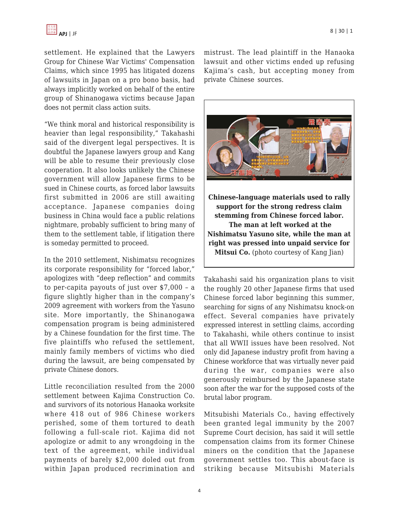settlement. He explained that the Lawyers Group for Chinese War Victims' Compensation Claims, which since 1995 has litigated dozens of lawsuits in Japan on a pro bono basis, had always implicitly worked on behalf of the entire group of Shinanogawa victims because Japan does not permit class action suits.

"We think moral and historical responsibility is heavier than legal responsibility," Takahashi said of the divergent legal perspectives. It is doubtful the Japanese lawyers group and Kang will be able to resume their previously close cooperation. It also looks unlikely the Chinese government will allow Japanese firms to be sued in Chinese courts, as forced labor lawsuits first submitted in 2006 are still awaiting acceptance. Japanese companies doing business in China would face a public relations nightmare, probably sufficient to bring many of them to the settlement table, if litigation there is someday permitted to proceed.

In the 2010 settlement, Nishimatsu recognizes its corporate responsibility for "forced labor," apologizes with "deep reflection" and commits to per-capita payouts of just over \$7,000 – a figure slightly higher than in the company's 2009 agreement with workers from the Yasuno site. More importantly, the Shinanogawa compensation program is being administered by a Chinese foundation for the first time. The five plaintiffs who refused the settlement, mainly family members of victims who died during the lawsuit, are being compensated by private Chinese donors.

Little reconciliation resulted from the 2000 settlement between Kajima Construction Co. and survivors of its notorious Hanaoka worksite where 418 out of 986 Chinese workers perished, some of them tortured to death following a full-scale riot. Kajima did not apologize or admit to any wrongdoing in the text of the agreement, while individual payments of barely \$2,000 doled out from within Japan produced recrimination and mistrust. The lead plaintiff in the Hanaoka lawsuit and other victims ended up refusing Kajima's cash, but accepting money from private Chinese sources.



**Nishimatsu Yasuno site, while the man at right was pressed into unpaid service for Mitsui Co.** (photo courtesy of Kang Jian)

Takahashi said his organization plans to visit the roughly 20 other Japanese firms that used Chinese forced labor beginning this summer, searching for signs of any Nishimatsu knock-on effect. Several companies have privately expressed interest in settling claims, according to Takahashi, while others continue to insist that all WWII issues have been resolved. Not only did Japanese industry profit from having a Chinese workforce that was virtually never paid during the war, companies were also generously reimbursed by the Japanese state soon after the war for the supposed costs of the brutal labor program.

Mitsubishi Materials Co., having effectively been granted legal immunity by the 2007 Supreme Court decision, has said it will settle compensation claims from its former Chinese miners on the condition that the Japanese government settles too. This about-face is striking because Mitsubishi Materials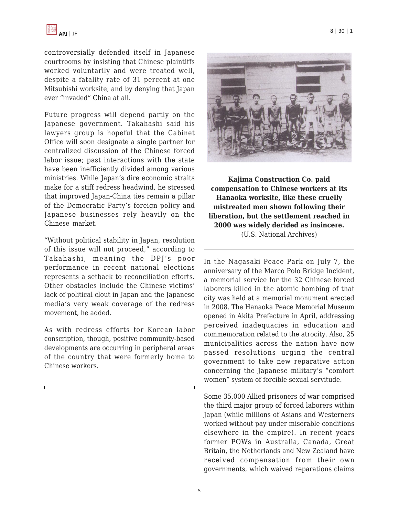controversially defended itself in Japanese courtrooms by insisting that Chinese plaintiffs worked voluntarily and were treated well, despite a fatality rate of 31 percent at one Mitsubishi worksite, and by denying that Japan ever "invaded" China at all.

Future progress will depend partly on the Japanese government. Takahashi said his lawyers group is hopeful that the Cabinet Office will soon designate a single partner for centralized discussion of the Chinese forced labor issue; past interactions with the state have been inefficiently divided among various ministries. While Japan's dire economic straits make for a stiff redress headwind, he stressed that improved Japan-China ties remain a pillar of the Democratic Party's foreign policy and Japanese businesses rely heavily on the Chinese market.

"Without political stability in Japan, resolution of this issue will not proceed," according to Takahashi, meaning the DPJ's poor performance in recent national elections represents a setback to reconciliation efforts. Other obstacles include the Chinese victims' lack of political clout in Japan and the Japanese media's very weak coverage of the redress movement, he added.

As with redress efforts for Korean labor conscription, though, positive community-based developments are occurring in peripheral areas of the country that were formerly home to Chinese workers.



**Kajima Construction Co. paid compensation to Chinese workers at its Hanaoka worksite, like these cruelly mistreated men shown following their liberation, but the settlement reached in 2000 was widely derided as insincere.** (U.S. National Archives)

In the Nagasaki Peace Park on July 7, the anniversary of the Marco Polo Bridge Incident, a memorial service for the 32 Chinese forced laborers killed in the atomic bombing of that city was held at a memorial monument erected in 2008. The Hanaoka Peace Memorial Museum opened in Akita Prefecture in April, addressing perceived inadequacies in education and commemoration related to the atrocity. Also, 25 municipalities across the nation have now passed resolutions urging the central government to take new reparative action concerning the Japanese military's "comfort women" system of forcible sexual servitude.

Some 35,000 Allied prisoners of war comprised the third major group of forced laborers within Japan (while millions of Asians and Westerners worked without pay under miserable conditions elsewhere in the empire). In recent years former POWs in Australia, Canada, Great Britain, the Netherlands and New Zealand have received compensation from their own governments, which waived reparations claims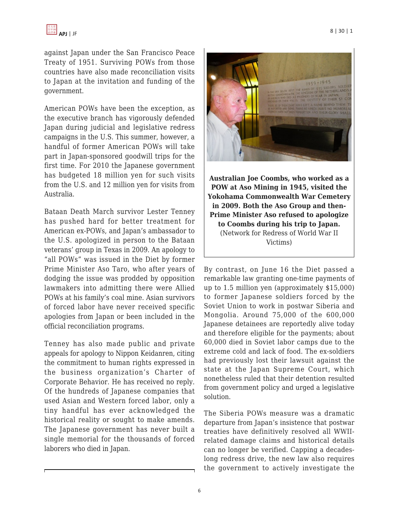against Japan under the San Francisco Peace Treaty of 1951. Surviving POWs from those countries have also made reconciliation visits to Japan at the invitation and funding of the government.

American POWs have been the exception, as the executive branch has vigorously defended Japan during judicial and legislative redress campaigns in the U.S. This summer, however, a handful of former American POWs will take part in Japan-sponsored goodwill trips for the first time. For 2010 the Japanese government has budgeted 18 million yen for such visits from the U.S. and 12 million yen for visits from Australia.

Bataan Death March survivor Lester Tenney has pushed hard for better treatment for American ex-POWs, and Japan's ambassador to the U.S. apologized in person to the Bataan veterans' group in Texas in 2009. An apology to "all POWs" was issued in the Diet by former Prime Minister Aso Taro, who after years of dodging the issue was prodded by opposition lawmakers into admitting there were Allied POWs at his family's coal mine. Asian survivors of forced labor have never received specific apologies from Japan or been included in the official reconciliation programs.

Tenney has also made public and private appeals for apology to Nippon Keidanren, citing the commitment to human rights expressed in the business organization's Charter of Corporate Behavior. He has received no reply. Of the hundreds of Japanese companies that used Asian and Western forced labor, only a tiny handful has ever acknowledged the historical reality or sought to make amends. The Japanese government has never built a single memorial for the thousands of forced laborers who died in Japan.



**Australian Joe Coombs, who worked as a POW at Aso Mining in 1945, visited the Yokohama Commonwealth War Cemetery in 2009. Both the Aso Group and then-Prime Minister Aso refused to apologize to Coombs during his trip to Japan.** (Network for Redress of World War II Victims)

By contrast, on June 16 the Diet passed a remarkable law granting one-time payments of up to 1.5 million yen (approximately \$15,000) to former Japanese soldiers forced by the Soviet Union to work in postwar Siberia and Mongolia. Around 75,000 of the 600,000 Japanese detainees are reportedly alive today and therefore eligible for the payments; about 60,000 died in Soviet labor camps due to the extreme cold and lack of food. The ex-soldiers had previously lost their lawsuit against the state at the Japan Supreme Court, which nonetheless ruled that their detention resulted from government policy and urged a legislative solution.

The Siberia POWs measure was a dramatic departure from Japan's insistence that postwar treaties have definitively resolved all WWIIrelated damage claims and historical details can no longer be verified. Capping a decadeslong redress drive, the new law also requires the government to actively investigate the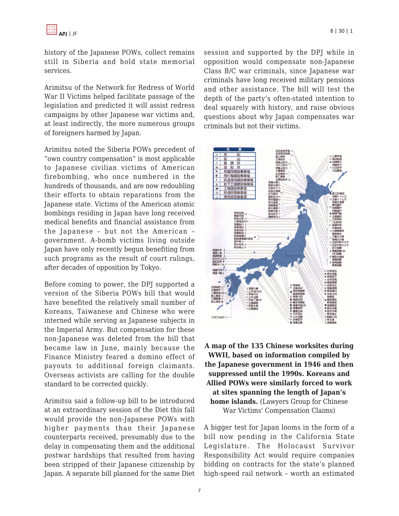history of the Japanese POWs, collect remains still in Siberia and hold state memorial services.

Arimitsu of the Network for Redress of World War II Victims helped facilitate passage of the legislation and predicted it will assist redress campaigns by other Japanese war victims and, at least indirectly, the more numerous groups of foreigners harmed by Japan.

Arimitsu noted the Siberia POWs precedent of "own country compensation" is most applicable to Japanese civilian victims of American firebombing, who once numbered in the hundreds of thousands, and are now redoubling their efforts to obtain reparations from the Japanese state. Victims of the American atomic bombings residing in Japan have long received medical benefits and financial assistance from the Japanese – but not the American – government. A-bomb victims living outside Japan have only recently begun benefiting from such programs as the result of court rulings, after decades of opposition by Tokyo.

Before coming to power, the DPJ supported a version of the Siberia POWs bill that would have benefited the relatively small number of Koreans, Taiwanese and Chinese who were interned while serving as Japanese subjects in the Imperial Army. But compensation for these non-Japanese was deleted from the bill that became law in June, mainly because the Finance Ministry feared a domino effect of payouts to additional foreign claimants. Overseas activists are calling for the double standard to be corrected quickly.

Arimitsu said a follow-up bill to be introduced at an extraordinary session of the Diet this fall would provide the non-Japanese POWs with higher payments than their Japanese counterparts received, presumably due to the delay in compensating them and the additional postwar hardships that resulted from having been stripped of their Japanese citizenship by Japan. A separate bill planned for the same Diet session and supported by the DPJ while in opposition would compensate non-Japanese Class B/C war criminals, since Japanese war criminals have long received military pensions and other assistance. The bill will test the depth of the party's often-stated intention to deal squarely with history, and raise obvious questions about why Japan compensates war criminals but not their victims.



## **A map of the 135 Chinese worksites during WWII, based on information compiled by the Japanese government in 1946 and then suppressed until the 1990s. Koreans and Allied POWs were similarly forced to work at sites spanning the length of Japan's home islands.** (Lawyers Group for Chinese War Victims' Compensation Claims)

A bigger test for Japan looms in the form of a bill now pending in the California State Legislature. The Holocaust Survivor Responsibility Act would require companies bidding on contracts for the state's planned high-speed rail network – worth an estimated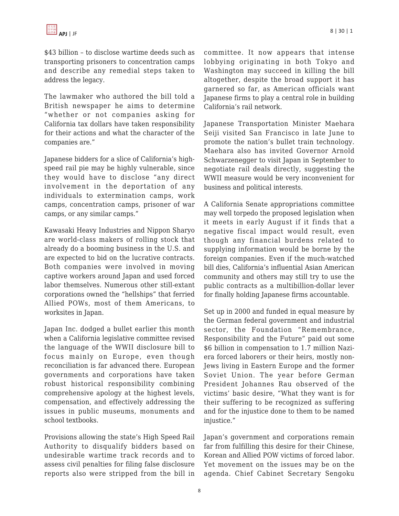\$43 billion – to disclose wartime deeds such as transporting prisoners to concentration camps and describe any remedial steps taken to address the legacy.

The lawmaker who authored the bill told a British newspaper he aims to determine "whether or not companies asking for California tax dollars have taken responsibility for their actions and what the character of the companies are."

Japanese bidders for a slice of California's highspeed rail pie may be highly vulnerable, since they would have to disclose "any direct involvement in the deportation of any individuals to extermination camps, work camps, concentration camps, prisoner of war camps, or any similar camps."

Kawasaki Heavy Industries and Nippon Sharyo are world-class makers of rolling stock that already do a booming business in the U.S. and are expected to bid on the lucrative contracts. Both companies were involved in moving captive workers around Japan and used forced labor themselves. Numerous other still-extant corporations owned the "hellships" that ferried Allied POWs, most of them Americans, to worksites in Japan.

Japan Inc. dodged a bullet earlier this month when a California legislative committee revised the language of the WWII disclosure bill to focus mainly on Europe, even though reconciliation is far advanced there. European governments and corporations have taken robust historical responsibility combining comprehensive apology at the highest levels, compensation, and effectively addressing the issues in public museums, monuments and school textbooks.

Provisions allowing the state's High Speed Rail Authority to disqualify bidders based on undesirable wartime track records and to assess civil penalties for filing false disclosure reports also were stripped from the bill in committee. It now appears that intense lobbying originating in both Tokyo and Washington may succeed in killing the bill altogether, despite the broad support it has garnered so far, as American officials want Japanese firms to play a central role in building California's rail network.

Japanese Transportation Minister Maehara Seiji visited San Francisco in late June to promote the nation's bullet train technology. Maehara also has invited Governor Arnold Schwarzenegger to visit Japan in September to negotiate rail deals directly, suggesting the WWII measure would be very inconvenient for business and political interests.

A California Senate appropriations committee may well torpedo the proposed legislation when it meets in early August if it finds that a negative fiscal impact would result, even though any financial burdens related to supplying information would be borne by the foreign companies. Even if the much-watched bill dies, California's influential Asian American community and others may still try to use the public contracts as a multibillion-dollar lever for finally holding Japanese firms accountable.

Set up in 2000 and funded in equal measure by the German federal government and industrial sector, the Foundation "Remembrance, Responsibility and the Future" paid out some \$6 billion in compensation to 1.7 million Naziera forced laborers or their heirs, mostly non-Jews living in Eastern Europe and the former Soviet Union. The year before German President Johannes Rau observed of the victims' basic desire, "What they want is for their suffering to be recognized as suffering and for the injustice done to them to be named injustice."

Japan's government and corporations remain far from fulfilling this desire for their Chinese, Korean and Allied POW victims of forced labor. Yet movement on the issues may be on the agenda. Chief Cabinet Secretary Sengoku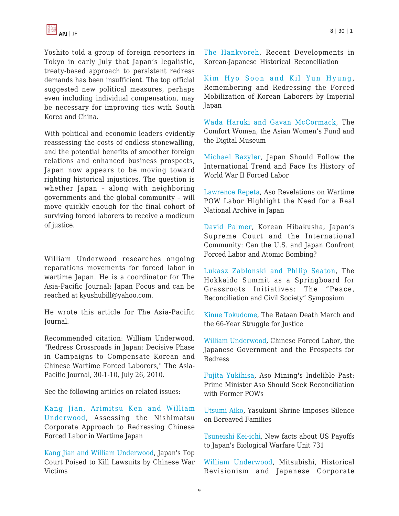Yoshito told a group of foreign reporters in Tokyo in early July that Japan's legalistic, treaty-based approach to persistent redress demands has been insufficient. The top official suggested new political measures, perhaps even including individual compensation, may be necessary for improving ties with South Korea and China.

With political and economic leaders evidently reassessing the costs of endless stonewalling, and the potential benefits of smoother foreign relations and enhanced business prospects, Japan now appears to be moving toward righting historical injustices. The question is whether Japan – along with neighboring governments and the global community – will move quickly enough for the final cohort of surviving forced laborers to receive a modicum of justice.

William Underwood researches ongoing reparations movements for forced labor in wartime Japan. He is a coordinator for The Asia-Pacific Journal: Japan Focus and can be reached at kyushubill@yahoo.com.

He wrote this article for The Asia-Pacific Journal.

Recommended citation: William Underwood, "Redress Crossroads in Japan: Decisive Phase in Campaigns to Compensate Korean and Chinese Wartime Forced Laborers," The Asia-Pacific Journal, 30-1-10, July 26, 2010.

See the following articles on related issues:

[Kang Jian, Arimitsu Ken and William](http://japanfocus.org/-Kang-Jian/3256) [Underwood,](http://japanfocus.org/-Kang-Jian/3256) Assessing the Nishimatsu Corporate Approach to Redressing Chinese Forced Labor in Wartime Japan

[Kang Jian and William Underwood](http://www.japanfocus.org/-William-Underwood/2369), Japan's Top Court Poised to Kill Lawsuits by Chinese War Victims

[The Hankyoreh](http://japanfocus.org/--Hankyoreh/3348), Recent Developments in Korean-Japanese Historical Reconciliation

[Kim Hyo Soon and Kil Yun Hyung](http://www.japanfocus.org/-Kim-Hyo_Soon/3303), Remembering and Redressing the Forced Mobilization of Korean Laborers by Imperial Japan

[Wada Haruki and Gavan McCormack,](http://www.japanfocus.org/-Wada-Haruki/2653) The Comfort Women, the Asian Women's Fund and the Digital Museum

[Michael Bazyler](http://www.japanfocus.org/-Michael-Bazyler/3030), Japan Should Follow the International Trend and Face Its History of World War II Forced Labor

[Lawrence Repeta,](http://www.japanfocus.org/-Lawrence-Repeta/3023) Aso Revelations on Wartime POW Labor Highlight the Need for a Real National Archive in Japan

[David Palmer,](http://www.japanfocus.org/-David-Palmer/2670) Korean Hibakusha, Japan's Supreme Court and the International Community: Can the U.S. and Japan Confront Forced Labor and Atomic Bombing?

[Lukasz Zablonski and Philip Seaton](http://www.japanfocus.org/-P-Seaton/2973), The Hokkaido Summit as a Springboard for Grassroots Initiatives: The "Peace, Reconciliation and Civil Society" Symposium

[Kinue Tokudome,](http://www.japanfocus.org/-Kinue-Tokudome/2714) The Bataan Death March and the 66-Year Struggle for Justice

[William Underwood,](http://www.japanfocus.org/-William-Underwood/1693) Chinese Forced Labor, the Japanese Government and the Prospects for Redress

[Fujita Yukihisa,](http://japanfocus.org/-Fujita-Yukihisa/3127) Aso Mining's Indelible Past: Prime Minister Aso Should Seek Reconciliation with Former POWs

[Utsumi Aiko,](http://www.japanfocus.org/-Utsumi-Aiko/2216) Yasukuni Shrine Imposes Silence on Bereaved Families

[Tsuneishi Kei-ichi](http://www.japanfocus.org/-Tsuneishi-Kei-ichi/2209), New facts about US Payoffs to Japan's Biological Warfare Unit 731

[William Underwood,](http://www.japanfocus.org/-William-Underwood/1823) Mitsubishi, Historical Revisionism and Japanese Corporate